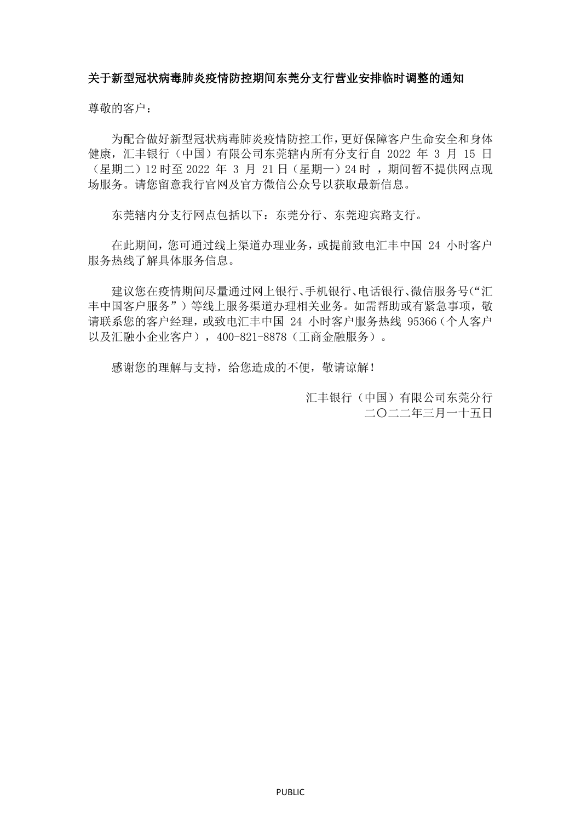## 关于新型冠状病毒肺炎疫情防控期间东莞分支行营业安排临时调整的通知

尊敬的客户:

为配合做好新型冠状病毒肺炎疫情防控工作,更好保障客户生命安全和身体 健康,汇丰银行(中国)有限公司东莞辖内所有分支行自 2022 年 3 月 15 日 (星期二)12 时至 2022 年 3 月 21 日 (星期一) 24 时, 期间暂不提供网点现 场服务。请您留意我行官网及官方微信公众号以获取最新信息。

东莞辖内分支行网点包括以下:东莞分行、东莞迎宾路支行。

在此期间,您可通过线上渠道办理业务,或提前致电汇丰中国 24 小时客户 服务热线了解具体服务信息。

建议您在疫情期间尽量通过网上银行、手机银行、电话银行、微信服务号("汇 丰中国客户服务")等线上服务渠道办理相关业务。如需帮助或有紧急事项, 敬 请联系您的客户经理,或致电汇丰中国 24 小时客户服务热线 95366(个人客户 以及汇融小企业客户),400-821-8878(工商金融服务)。

感谢您的理解与支持,给您造成的不便,敬请谅解!

汇丰银行(中国)有限公司东莞分行 二〇二二年三月一十五日